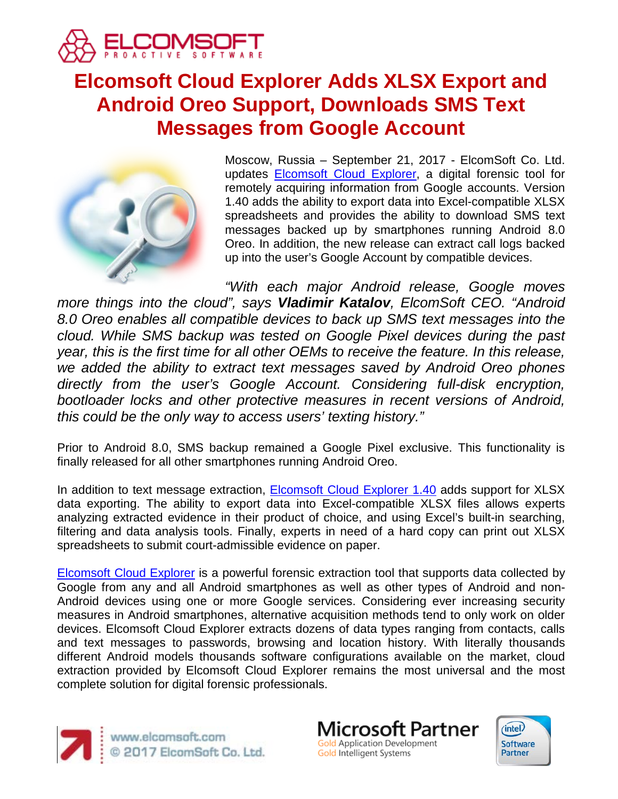

# **Elcomsoft Cloud Explorer Adds XLSX Export and Android Oreo Support, Downloads SMS Text Messages from Google Account**



Moscow, Russia – September 21, 2017 - ElcomSoft Co. Ltd. updates [Elcomsoft Cloud Explorer,](https://www.elcomsoft.com/ecx.html) a digital forensic tool for remotely acquiring information from Google accounts. Version 1.40 adds the ability to export data into Excel-compatible XLSX spreadsheets and provides the ability to download SMS text messages backed up by smartphones running Android 8.0 Oreo. In addition, the new release can extract call logs backed up into the user's Google Account by compatible devices.

*"With each major Android release, Google moves more things into the cloud", says Vladimir Katalov, ElcomSoft CEO. "Android 8.0 Oreo enables all compatible devices to back up SMS text messages into the cloud. While SMS backup was tested on Google Pixel devices during the past year, this is the first time for all other OEMs to receive the feature. In this release, we added the ability to extract text messages saved by Android Oreo phones directly from the user's Google Account. Considering full-disk encryption, bootloader locks and other protective measures in recent versions of Android, this could be the only way to access users' texting history."*

Prior to Android 8.0, SMS backup remained a Google Pixel exclusive. This functionality is finally released for all other smartphones running Android Oreo.

In addition to text message extraction, [Elcomsoft Cloud Explorer 1.40](https://www.elcomsoft.com/ecx.html) adds support for XLSX data exporting. The ability to export data into Excel-compatible XLSX files allows experts analyzing extracted evidence in their product of choice, and using Excel's built-in searching, filtering and data analysis tools. Finally, experts in need of a hard copy can print out XLSX spreadsheets to submit court-admissible evidence on paper.

[Elcomsoft Cloud Explorer](https://www.elcomsoft.com/ecx.html) is a powerful forensic extraction tool that supports data collected by Google from any and all Android smartphones as well as other types of Android and non-Android devices using one or more Google services. Considering ever increasing security measures in Android smartphones, alternative acquisition methods tend to only work on older devices. Elcomsoft Cloud Explorer extracts dozens of data types ranging from contacts, calls and text messages to passwords, browsing and location history. With literally thousands different Android models thousands software configurations available on the market, cloud extraction provided by Elcomsoft Cloud Explorer remains the most universal and the most complete solution for digital forensic professionals.



www.elcomsoft.com<br>© 2017 ElcomSoft Co. Ltd.

**Microsoft Partner Gold Application Development** Gold Intelligent Systems